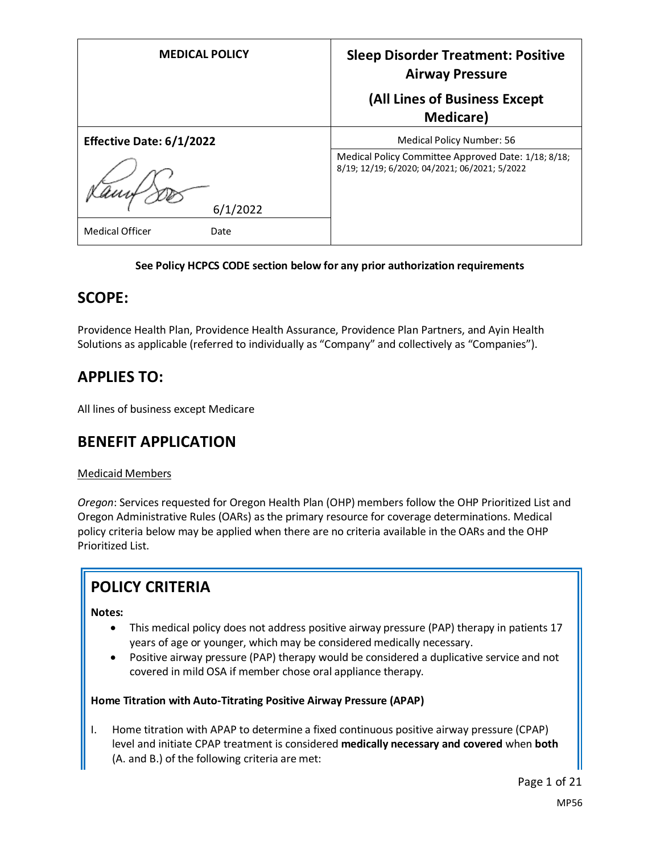| <b>MEDICAL POLICY</b>          | <b>Sleep Disorder Treatment: Positive</b><br><b>Airway Pressure</b>                                  |
|--------------------------------|------------------------------------------------------------------------------------------------------|
|                                | (All Lines of Business Except<br><b>Medicare</b> )                                                   |
|                                |                                                                                                      |
| Effective Date: 6/1/2022       | Medical Policy Number: 56                                                                            |
| 6/1/2022                       | Medical Policy Committee Approved Date: 1/18; 8/18;<br>8/19; 12/19; 6/2020; 04/2021; 06/2021; 5/2022 |
|                                |                                                                                                      |
| <b>Medical Officer</b><br>Date |                                                                                                      |

#### **See Policy HCPCS CODE section below for any prior authorization requirements**

## **SCOPE:**

Providence Health Plan, Providence Health Assurance, Providence Plan Partners, and Ayin Health Solutions as applicable (referred to individually as "Company" and collectively as "Companies").

# **APPLIES TO:**

All lines of business except Medicare

## **BENEFIT APPLICATION**

#### Medicaid Members

*Oregon*: Services requested for Oregon Health Plan (OHP) members follow the OHP Prioritized List and Oregon Administrative Rules (OARs) as the primary resource for coverage determinations. Medical policy criteria below may be applied when there are no criteria available in the OARs and the OHP Prioritized List.

# **POLICY CRITERIA**

**Notes:** 

- This medical policy does not address positive airway pressure (PAP) therapy in patients 17 years of age or younger, which may be considered medically necessary.
- Positive airway pressure (PAP) therapy would be considered a duplicative service and not covered in mild OSA if member chose oral appliance therapy.

#### **Home Titration with Auto-Titrating Positive Airway Pressure (APAP)**

I. Home titration with APAP to determine a fixed continuous positive airway pressure (CPAP) level and initiate CPAP treatment is considered **medically necessary and covered** when **both** (A. and B.) of the following criteria are met:

Page 1 of 21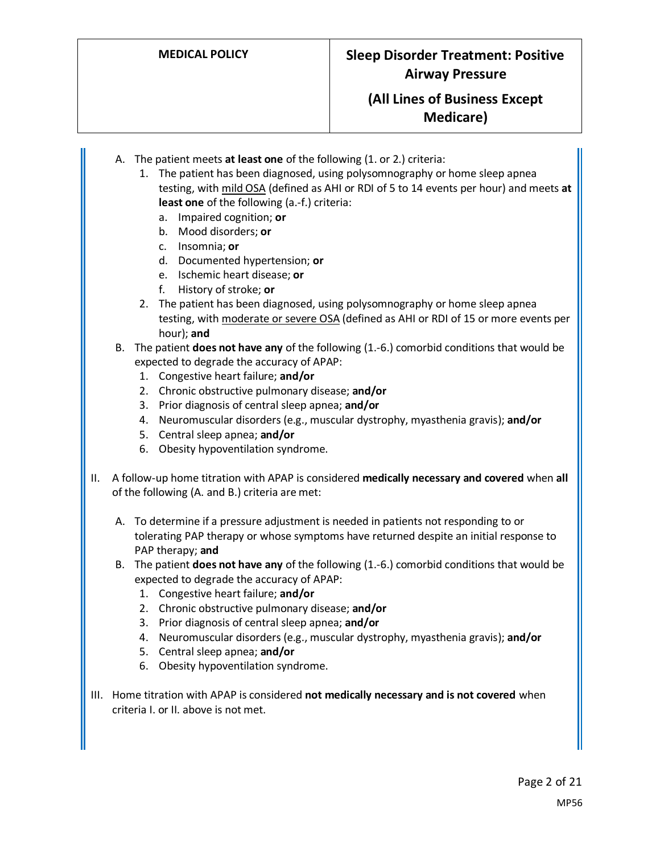# **MEDICAL POLICY Sleep Disorder Treatment: Positive Airway Pressure**

## **(All Lines of Business Except Medicare)**

- A. The patient meets **at least one** of the following (1. or 2.) criteria:
	- 1. The patient has been diagnosed, using polysomnography or home sleep apnea testing, with mild OSA (defined as AHI or RDI of 5 to 14 events per hour) and meets **at least one** of the following (a.-f.) criteria:
		- a. Impaired cognition; **or**
		- b. Mood disorders; **or**
		- c. Insomnia; **or**
		- d. Documented hypertension; **or**
		- e. Ischemic heart disease; **or**
		- f. History of stroke; **or**
	- 2. The patient has been diagnosed, using polysomnography or home sleep apnea testing, with moderate or severe OSA (defined as AHI or RDI of 15 or more events per hour); **and**
- B. The patient **does not have any** of the following (1.-6.) comorbid conditions that would be expected to degrade the accuracy of APAP:
	- 1. Congestive heart failure; **and/or**
	- 2. Chronic obstructive pulmonary disease; **and/or**
	- 3. Prior diagnosis of central sleep apnea; **and/or**
	- 4. Neuromuscular disorders (e.g., muscular dystrophy, myasthenia gravis); **and/or**
	- 5. Central sleep apnea; **and/or**
	- 6. Obesity hypoventilation syndrome.
- II. A follow-up home titration with APAP is considered **medically necessary and covered** when **all** of the following (A. and B.) criteria are met:
	- A. To determine if a pressure adjustment is needed in patients not responding to or tolerating PAP therapy or whose symptoms have returned despite an initial response to PAP therapy; **and**
	- B. The patient **does not have any** of the following (1.-6.) comorbid conditions that would be expected to degrade the accuracy of APAP:
		- 1. Congestive heart failure; **and/or**
		- 2. Chronic obstructive pulmonary disease; **and/or**
		- 3. Prior diagnosis of central sleep apnea; **and/or**
		- 4. Neuromuscular disorders (e.g., muscular dystrophy, myasthenia gravis); **and/or**
		- 5. Central sleep apnea; **and/or**
		- 6. Obesity hypoventilation syndrome.
- III. Home titration with APAP is considered **not medically necessary and is not covered** when criteria I. or II. above is not met.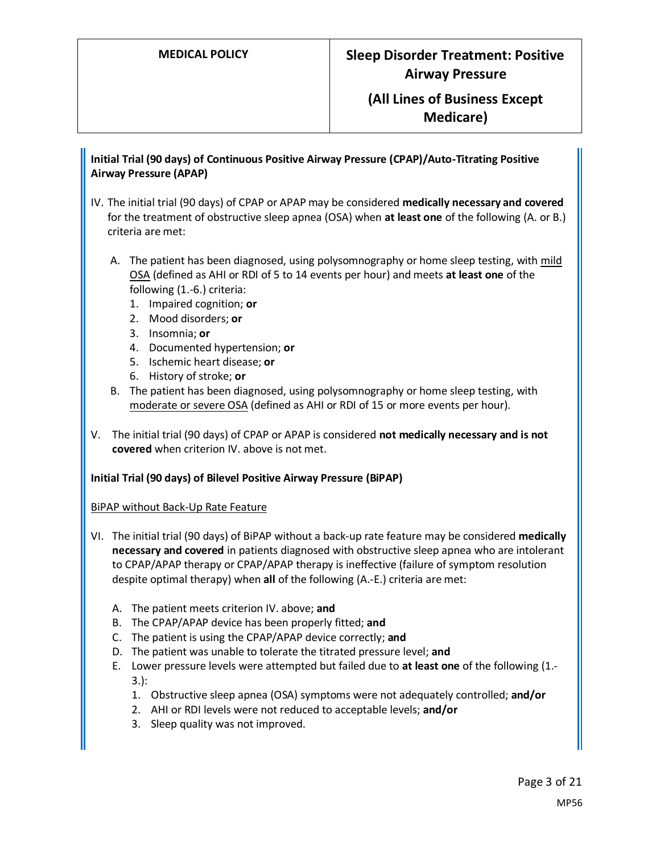## **MEDICAL POLICY Sleep Disorder Treatment: Positive Airway Pressure**

## **(All Lines of Business Except Medicare)**

**Initial Trial (90 days) of Continuous Positive Airway Pressure (CPAP)/Auto-Titrating Positive Airway Pressure (APAP)**

- IV. The initial trial (90 days) of CPAP or APAP may be considered **medically necessary and covered** for the treatment of obstructive sleep apnea (OSA) when **at least one** of the following (A. or B.) criteria are met:
	- A. The patient has been diagnosed, using polysomnography or home sleep testing, with mild OSA (defined as AHI or RDI of 5 to 14 events per hour) and meets **at least one** of the following (1.-6.) criteria:
		- 1. Impaired cognition; **or**
		- 2. Mood disorders; **or**
		- 3. Insomnia; **or**
		- 4. Documented hypertension; **or**
		- 5. Ischemic heart disease; **or**
		- 6. History of stroke; **or**
	- B. The patient has been diagnosed, using polysomnography or home sleep testing, with moderate or severe OSA (defined as AHI or RDI of 15 or more events per hour).
- V. The initial trial (90 days) of CPAP or APAP is considered **not medically necessary and is not covered** when criterion IV. above is not met.

#### **Initial Trial (90 days) of Bilevel Positive Airway Pressure (BiPAP)**

BiPAP without Back-Up Rate Feature

- VI. The initial trial (90 days) of BiPAP without a back-up rate feature may be considered **medically necessary and covered** in patients diagnosed with obstructive sleep apnea who are intolerant to CPAP/APAP therapy or CPAP/APAP therapy is ineffective (failure of symptom resolution despite optimal therapy) when **all** of the following (A.-E.) criteria are met:
	- A. The patient meets criterion IV. above; **and**
	- B. The CPAP/APAP device has been properly fitted; **and**
	- C. The patient is using the CPAP/APAP device correctly; **and**
	- D. The patient was unable to tolerate the titrated pressure level; **and**
	- E. Lower pressure levels were attempted but failed due to **at least one** of the following (1.- 3.):
		- 1. Obstructive sleep apnea (OSA) symptoms were not adequately controlled; **and/or**
		- 2. AHI or RDI levels were not reduced to acceptable levels; **and/or**
		- 3. Sleep quality was not improved.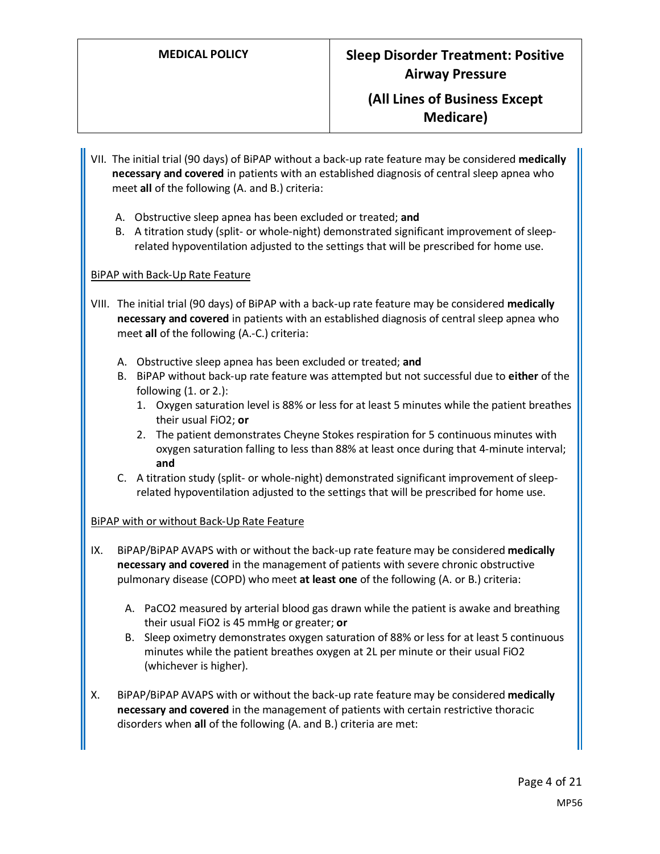## **MEDICAL POLICY Sleep Disorder Treatment: Positive Airway Pressure**

## **(All Lines of Business Except Medicare)**

- VII. The initial trial (90 days) of BiPAP without a back-up rate feature may be considered **medically necessary and covered** in patients with an established diagnosis of central sleep apnea who meet **all** of the following (A. and B.) criteria:
	- A. Obstructive sleep apnea has been excluded or treated; **and**
	- B. A titration study (split- or whole-night) demonstrated significant improvement of sleeprelated hypoventilation adjusted to the settings that will be prescribed for home use.

#### BiPAP with Back-Up Rate Feature

- VIII. The initial trial (90 days) of BiPAP with a back-up rate feature may be considered **medically necessary and covered** in patients with an established diagnosis of central sleep apnea who meet **all** of the following (A.-C.) criteria:
	- A. Obstructive sleep apnea has been excluded or treated; **and**
	- B. BiPAP without back-up rate feature was attempted but not successful due to **either** of the following (1. or 2.):
		- 1. Oxygen saturation level is 88% or less for at least 5 minutes while the patient breathes their usual FiO2; **or**
		- 2. The patient demonstrates Cheyne Stokes respiration for 5 continuous minutes with oxygen saturation falling to less than 88% at least once during that 4-minute interval; **and**
	- C. A titration study (split- or whole-night) demonstrated significant improvement of sleeprelated hypoventilation adjusted to the settings that will be prescribed for home use.

#### BiPAP with or without Back-Up Rate Feature

- IX. BiPAP/BiPAP AVAPS with or without the back-up rate feature may be considered **medically necessary and covered** in the management of patients with severe chronic obstructive pulmonary disease (COPD) who meet **at least one** of the following (A. or B.) criteria:
	- A. PaCO2 measured by arterial blood gas drawn while the patient is awake and breathing their usual FiO2 is 45 mmHg or greater; **or**
	- B. Sleep oximetry demonstrates oxygen saturation of 88% or less for at least 5 continuous minutes while the patient breathes oxygen at 2L per minute or their usual FiO2 (whichever is higher).
- X. BiPAP/BiPAP AVAPS with or without the back-up rate feature may be considered **medically necessary and covered** in the management of patients with certain restrictive thoracic disorders when **all** of the following (A. and B.) criteria are met: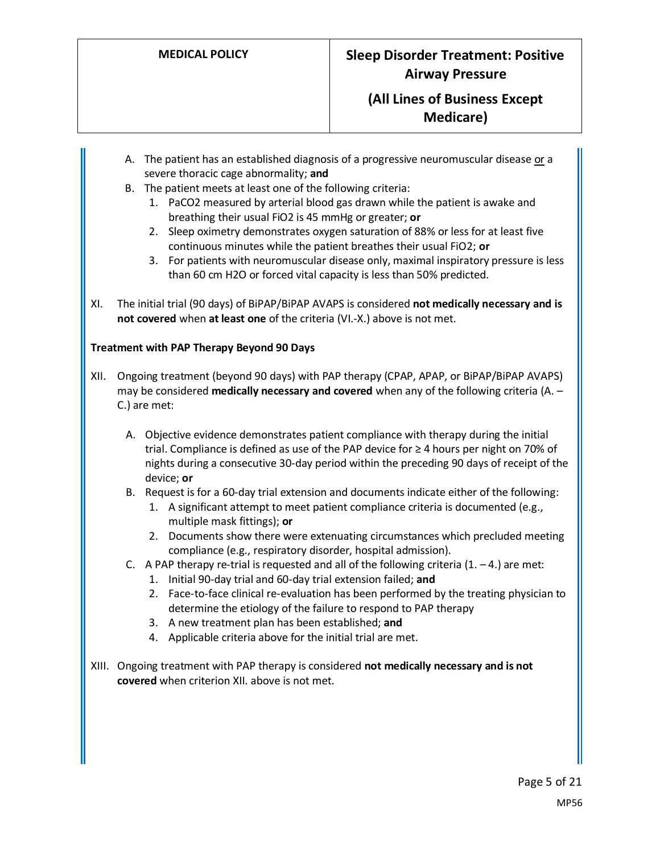- A. The patient has an established diagnosis of a progressive neuromuscular disease or a severe thoracic cage abnormality; **and**
- B. The patient meets at least one of the following criteria:
	- 1. PaCO2 measured by arterial blood gas drawn while the patient is awake and breathing their usual FiO2 is 45 mmHg or greater; **or**
	- 2. Sleep oximetry demonstrates oxygen saturation of 88% or less for at least five continuous minutes while the patient breathes their usual FiO2; **or**
	- 3. For patients with neuromuscular disease only, maximal inspiratory pressure is less than 60 cm H2O or forced vital capacity is less than 50% predicted.
- XI. The initial trial (90 days) of BiPAP/BiPAP AVAPS is considered **not medically necessary and is not covered** when **at least one** of the criteria (VI.-X.) above is not met.

#### **Treatment with PAP Therapy Beyond 90 Days**

- XII. Ongoing treatment (beyond 90 days) with PAP therapy (CPAP, APAP, or BiPAP/BiPAP AVAPS) may be considered **medically necessary and covered** when any of the following criteria (A. – C.) are met:
	- A. Objective evidence demonstrates patient compliance with therapy during the initial trial. Compliance is defined as use of the PAP device for ≥ 4 hours per night on 70% of nights during a consecutive 30-day period within the preceding 90 days of receipt of the device; **or**
	- B. Request is for a 60-day trial extension and documents indicate either of the following:
		- 1. A significant attempt to meet patient compliance criteria is documented (e.g., multiple mask fittings); **or**
		- 2. Documents show there were extenuating circumstances which precluded meeting compliance (e.g., respiratory disorder, hospital admission).
	- C. A PAP therapy re-trial is requested and all of the following criteria  $(1. -4.)$  are met:
		- 1. Initial 90-day trial and 60-day trial extension failed; **and**
		- 2. Face-to-face clinical re-evaluation has been performed by the treating physician to determine the etiology of the failure to respond to PAP therapy
		- 3. A new treatment plan has been established; **and**
		- 4. Applicable criteria above for the initial trial are met.
- XIII. Ongoing treatment with PAP therapy is considered **not medically necessary and is not covered** when criterion XII. above is not met.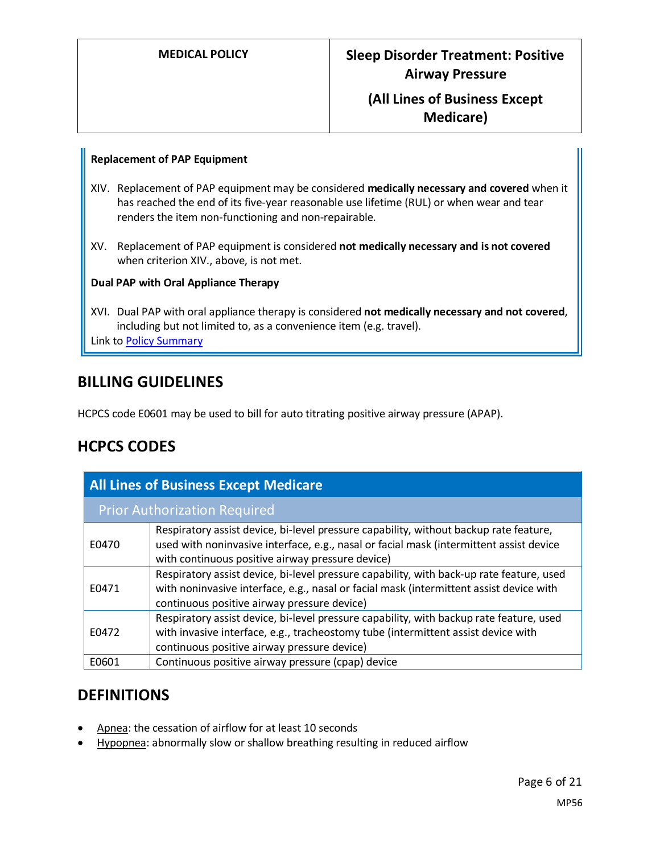#### **Replacement of PAP Equipment**

- XIV. Replacement of PAP equipment may be considered **medically necessary and covered** when it has reached the end of its five-year reasonable use lifetime (RUL) or when wear and tear renders the item non-functioning and non-repairable.
- XV. Replacement of PAP equipment is considered **not medically necessary and is not covered** when criterion XIV., above, is not met.

#### **Dual PAP with Oral Appliance Therapy**

XVI. Dual PAP with oral appliance therapy is considered **not medically necessary and not covered**, including but not limited to, as a convenience item (e.g. travel). Link t[o Policy Summary](#page-17-0)

## **BILLING GUIDELINES**

HCPCS code E0601 may be used to bill for auto titrating positive airway pressure (APAP).

# **HCPCS CODES**

| <b>All Lines of Business Except Medicare</b> |                                                                                                                                                                                                                                      |  |
|----------------------------------------------|--------------------------------------------------------------------------------------------------------------------------------------------------------------------------------------------------------------------------------------|--|
| <b>Prior Authorization Required</b>          |                                                                                                                                                                                                                                      |  |
| E0470                                        | Respiratory assist device, bi-level pressure capability, without backup rate feature,<br>used with noninvasive interface, e.g., nasal or facial mask (intermittent assist device<br>with continuous positive airway pressure device) |  |
| E0471                                        | Respiratory assist device, bi-level pressure capability, with back-up rate feature, used<br>with noninvasive interface, e.g., nasal or facial mask (intermittent assist device with<br>continuous positive airway pressure device)   |  |
| E0472                                        | Respiratory assist device, bi-level pressure capability, with backup rate feature, used<br>with invasive interface, e.g., tracheostomy tube (intermittent assist device with<br>continuous positive airway pressure device)          |  |
| E0601                                        | Continuous positive airway pressure (cpap) device                                                                                                                                                                                    |  |

## **DEFINITIONS**

- Apnea: the cessation of airflow for at least 10 seconds
- Hypopnea: abnormally slow or shallow breathing resulting in reduced airflow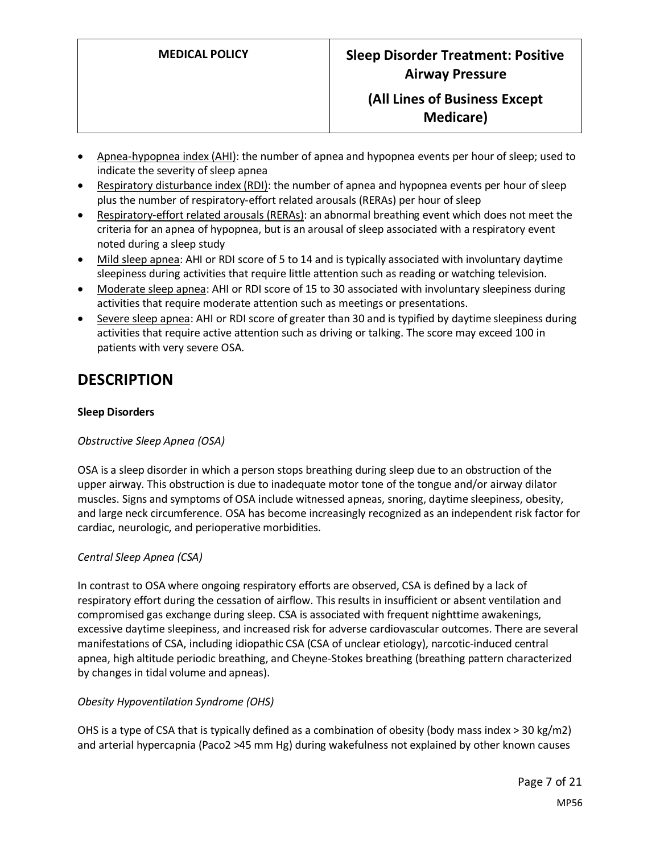- Apnea-hypopnea index (AHI): the number of apnea and hypopnea events per hour of sleep; used to indicate the severity of sleep apnea
- Respiratory disturbance index (RDI): the number of apnea and hypopnea events per hour of sleep plus the number of respiratory-effort related arousals (RERAs) per hour of sleep
- Respiratory-effort related arousals (RERAs): an abnormal breathing event which does not meet the criteria for an apnea of hypopnea, but is an arousal of sleep associated with a respiratory event noted during a sleep study
- Mild sleep apnea: AHI or RDI score of 5 to 14 and is typically associated with involuntary daytime sleepiness during activities that require little attention such as reading or watching television.
- Moderate sleep apnea: AHI or RDI score of 15 to 30 associated with involuntary sleepiness during activities that require moderate attention such as meetings or presentations.
- Severe sleep apnea: AHI or RDI score of greater than 30 and is typified by daytime sleepiness during activities that require active attention such as driving or talking. The score may exceed 100 in patients with very severe OSA.

# **DESCRIPTION**

### **Sleep Disorders**

#### *Obstructive Sleep Apnea (OSA)*

OSA is a sleep disorder in which a person stops breathing during sleep due to an obstruction of the upper airway. This obstruction is due to inadequate motor tone of the tongue and/or airway dilator muscles. Signs and symptoms of OSA include witnessed apneas, snoring, daytime sleepiness, obesity, and large neck circumference. OSA has become increasingly recognized as an independent risk factor for cardiac, neurologic, and perioperative morbidities.

#### *Central Sleep Apnea (CSA)*

In contrast to OSA where ongoing respiratory efforts are observed, CSA is defined by a lack of respiratory effort during the cessation of airflow. This results in insufficient or absent ventilation and compromised gas exchange during sleep. CSA is associated with frequent nighttime awakenings, excessive daytime sleepiness, and increased risk for adverse cardiovascular outcomes. There are several manifestations of CSA, including idiopathic CSA (CSA of unclear etiology), narcotic-induced central apnea, high altitude periodic breathing, and Cheyne-Stokes breathing (breathing pattern characterized by changes in tidal volume and apneas).

#### *Obesity Hypoventilation Syndrome (OHS)*

OHS is a type of CSA that is typically defined as a combination of obesity (body mass index > 30 kg/m2) and arterial hypercapnia (Paco2 >45 mm Hg) during wakefulness not explained by other known causes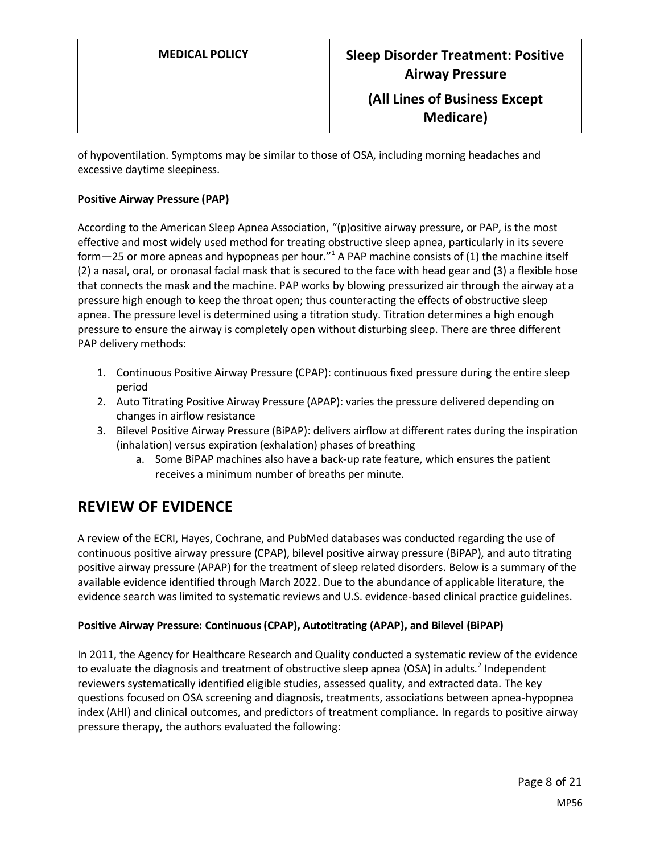of hypoventilation. Symptoms may be similar to those of OSA, including morning headaches and excessive daytime sleepiness.

#### **Positive Airway Pressure (PAP)**

According to the American Sleep Apnea Association, "(p)ositive airway pressure, or PAP, is the most effective and most widely used method for treating obstructive sleep apnea, particularly in its severe form $-25$  or more apneas and hypopneas per hour."<sup>1</sup> A PAP machine consists of (1) the machine itself (2) a nasal, oral, or oronasal facial mask that is secured to the face with head gear and (3) a flexible hose that connects the mask and the machine. PAP works by blowing pressurized air through the airway at a pressure high enough to keep the throat open; thus counteracting the effects of obstructive sleep apnea. The pressure level is determined using a titration study. Titration determines a high enough pressure to ensure the airway is completely open without disturbing sleep. There are three different PAP delivery methods:

- 1. Continuous Positive Airway Pressure (CPAP): continuous fixed pressure during the entire sleep period
- 2. Auto Titrating Positive Airway Pressure (APAP): varies the pressure delivered depending on changes in airflow resistance
- 3. Bilevel Positive Airway Pressure (BiPAP): delivers airflow at different rates during the inspiration (inhalation) versus expiration (exhalation) phases of breathing
	- a. Some BiPAP machines also have a back-up rate feature, which ensures the patient receives a minimum number of breaths per minute.

## **REVIEW OF EVIDENCE**

A review of the ECRI, Hayes, Cochrane, and PubMed databases was conducted regarding the use of continuous positive airway pressure (CPAP), bilevel positive airway pressure (BiPAP), and auto titrating positive airway pressure (APAP) for the treatment of sleep related disorders. Below is a summary of the available evidence identified through March 2022. Due to the abundance of applicable literature, the evidence search was limited to systematic reviews and U.S. evidence-based clinical practice guidelines.

#### **Positive Airway Pressure: Continuous (CPAP), Autotitrating (APAP), and Bilevel (BiPAP)**

In 2011, the Agency for Healthcare Research and Quality conducted a systematic review of the evidence to evaluate the diagnosis and treatment of obstructive sleep apnea (OSA) in adults.<sup>2</sup> Independent reviewers systematically identified eligible studies, assessed quality, and extracted data. The key questions focused on OSA screening and diagnosis, treatments, associations between apnea-hypopnea index (AHI) and clinical outcomes, and predictors of treatment compliance. In regards to positive airway pressure therapy, the authors evaluated the following: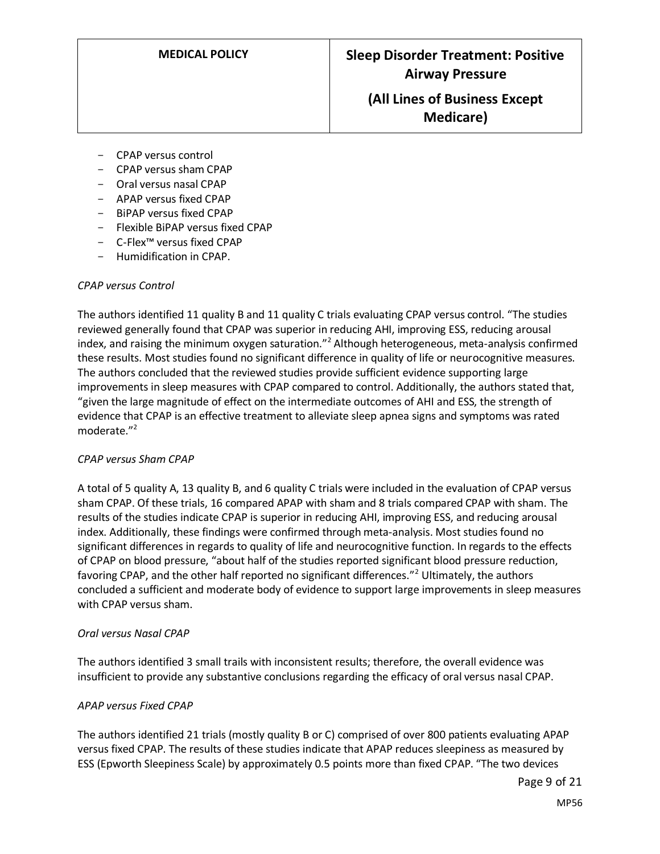- CPAP versus control
- CPAP versus sham CPAP
- Oral versus nasal CPAP
- APAP versus fixed CPAP
- BiPAP versus fixed CPAP
- Flexible BiPAP versus fixed CPAP
- C-Flex™ versus fixed CPAP
- Humidification in CPAP.

#### *CPAP versus Control*

The authors identified 11 quality B and 11 quality C trials evaluating CPAP versus control. "The studies reviewed generally found that CPAP was superior in reducing AHI, improving ESS, reducing arousal index, and raising the minimum oxygen saturation."<sup>2</sup> Although heterogeneous, meta-analysis confirmed these results. Most studies found no significant difference in quality of life or neurocognitive measures. The authors concluded that the reviewed studies provide sufficient evidence supporting large improvements in sleep measures with CPAP compared to control. Additionally, the authors stated that, "given the large magnitude of effect on the intermediate outcomes of AHI and ESS, the strength of evidence that CPAP is an effective treatment to alleviate sleep apnea signs and symptoms was rated moderate."<sup>2</sup>

#### *CPAP versus Sham CPAP*

A total of 5 quality A, 13 quality B, and 6 quality C trials were included in the evaluation of CPAP versus sham CPAP. Of these trials, 16 compared APAP with sham and 8 trials compared CPAP with sham. The results of the studies indicate CPAP is superior in reducing AHI, improving ESS, and reducing arousal index. Additionally, these findings were confirmed through meta-analysis. Most studies found no significant differences in regards to quality of life and neurocognitive function. In regards to the effects of CPAP on blood pressure, "about half of the studies reported significant blood pressure reduction, favoring CPAP, and the other half reported no significant differences."<sup>2</sup> Ultimately, the authors concluded a sufficient and moderate body of evidence to support large improvements in sleep measures with CPAP versus sham.

#### *Oral versus Nasal CPAP*

The authors identified 3 small trails with inconsistent results; therefore, the overall evidence was insufficient to provide any substantive conclusions regarding the efficacy of oral versus nasal CPAP.

#### *APAP versus Fixed CPAP*

The authors identified 21 trials (mostly quality B or C) comprised of over 800 patients evaluating APAP versus fixed CPAP. The results of these studies indicate that APAP reduces sleepiness as measured by ESS (Epworth Sleepiness Scale) by approximately 0.5 points more than fixed CPAP. "The two devices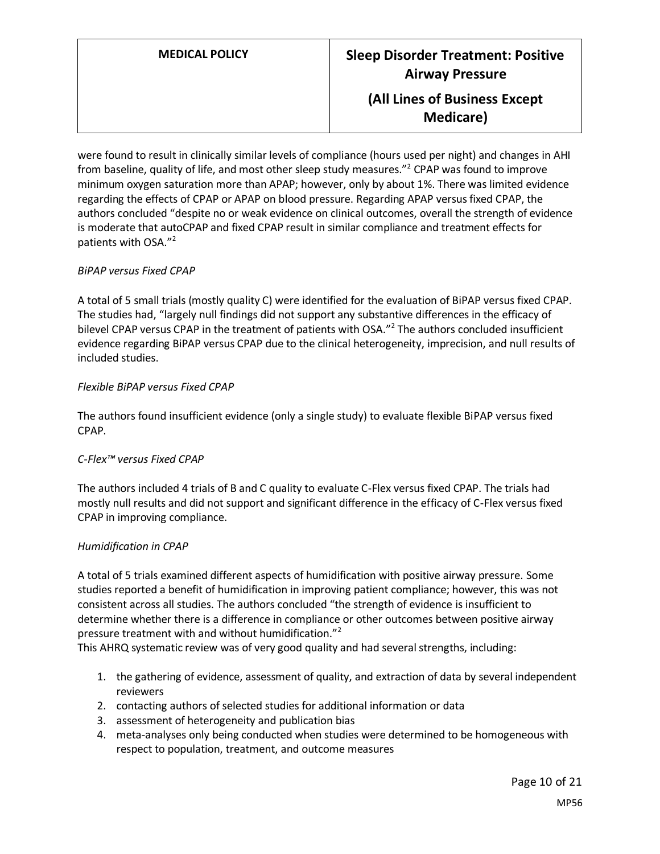were found to result in clinically similar levels of compliance (hours used per night) and changes in AHI from baseline, quality of life, and most other sleep study measures."<sup>2</sup> CPAP was found to improve minimum oxygen saturation more than APAP; however, only by about 1%. There was limited evidence regarding the effects of CPAP or APAP on blood pressure. Regarding APAP versus fixed CPAP, the authors concluded "despite no or weak evidence on clinical outcomes, overall the strength of evidence is moderate that autoCPAP and fixed CPAP result in similar compliance and treatment effects for patients with OSA."<sup>2</sup>

#### *BiPAP versus Fixed CPAP*

A total of 5 small trials (mostly quality C) were identified for the evaluation of BiPAP versus fixed CPAP. The studies had, "largely null findings did not support any substantive differences in the efficacy of bilevel CPAP versus CPAP in the treatment of patients with OSA."<sup>2</sup> The authors concluded insufficient evidence regarding BiPAP versus CPAP due to the clinical heterogeneity, imprecision, and null results of included studies.

#### *Flexible BiPAP versus Fixed CPAP*

The authors found insufficient evidence (only a single study) to evaluate flexible BiPAP versus fixed CPAP.

#### *C-Flex™ versus Fixed CPAP*

The authors included 4 trials of B and C quality to evaluate C-Flex versus fixed CPAP. The trials had mostly null results and did not support and significant difference in the efficacy of C-Flex versus fixed CPAP in improving compliance.

#### *Humidification in CPAP*

A total of 5 trials examined different aspects of humidification with positive airway pressure. Some studies reported a benefit of humidification in improving patient compliance; however, this was not consistent across all studies. The authors concluded "the strength of evidence is insufficient to determine whether there is a difference in compliance or other outcomes between positive airway pressure treatment with and without humidification."<sup>2</sup>

This AHRQ systematic review was of very good quality and had several strengths, including:

- 1. the gathering of evidence, assessment of quality, and extraction of data by several independent reviewers
- 2. contacting authors of selected studies for additional information or data
- 3. assessment of heterogeneity and publication bias
- 4. meta-analyses only being conducted when studies were determined to be homogeneous with respect to population, treatment, and outcome measures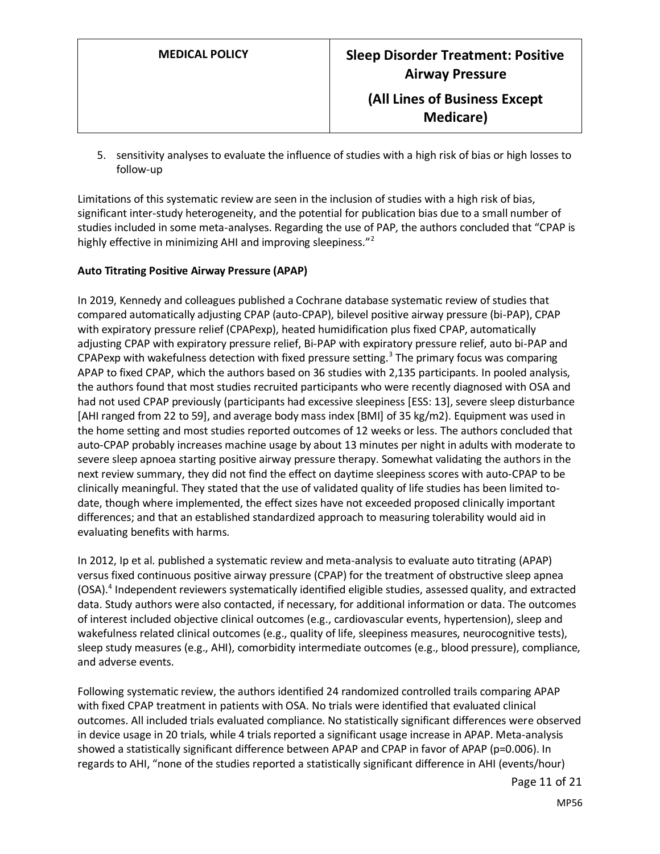5. sensitivity analyses to evaluate the influence of studies with a high risk of bias or high losses to follow-up

Limitations of this systematic review are seen in the inclusion of studies with a high risk of bias, significant inter-study heterogeneity, and the potential for publication bias due to a small number of studies included in some meta-analyses. Regarding the use of PAP, the authors concluded that "CPAP is highly effective in minimizing AHI and improving sleepiness."<sup>2</sup>

#### **Auto Titrating Positive Airway Pressure (APAP)**

In 2019, Kennedy and colleagues published a Cochrane database systematic review of studies that compared automatically adjusting CPAP (auto-CPAP), bilevel positive airway pressure (bi-PAP), CPAP with expiratory pressure relief (CPAPexp), heated humidification plus fixed CPAP, automatically adjusting CPAP with expiratory pressure relief, Bi-PAP with expiratory pressure relief, auto bi-PAP and CPAPexp with wakefulness detection with fixed pressure setting.<sup>3</sup> The primary focus was comparing APAP to fixed CPAP, which the authors based on 36 studies with 2,135 participants. In pooled analysis, the authors found that most studies recruited participants who were recently diagnosed with OSA and had not used CPAP previously (participants had excessive sleepiness [ESS: 13], severe sleep disturbance [AHI ranged from 22 to 59], and average body mass index [BMI] of 35 kg/m2). Equipment was used in the home setting and most studies reported outcomes of 12 weeks or less. The authors concluded that auto-CPAP probably increases machine usage by about 13 minutes per night in adults with moderate to severe sleep apnoea starting positive airway pressure therapy. Somewhat validating the authors in the next review summary, they did not find the effect on daytime sleepiness scores with auto-CPAP to be clinically meaningful. They stated that the use of validated quality of life studies has been limited todate, though where implemented, the effect sizes have not exceeded proposed clinically important differences; and that an established standardized approach to measuring tolerability would aid in evaluating benefits with harms.

In 2012, Ip et al. published a systematic review and meta-analysis to evaluate auto titrating (APAP) versus fixed continuous positive airway pressure (CPAP) for the treatment of obstructive sleep apnea (OSA). 4 Independent reviewers systematically identified eligible studies, assessed quality, and extracted data. Study authors were also contacted, if necessary, for additional information or data. The outcomes of interest included objective clinical outcomes (e.g., cardiovascular events, hypertension), sleep and wakefulness related clinical outcomes (e.g., quality of life, sleepiness measures, neurocognitive tests), sleep study measures (e.g., AHI), comorbidity intermediate outcomes (e.g., blood pressure), compliance, and adverse events.

Following systematic review, the authors identified 24 randomized controlled trails comparing APAP with fixed CPAP treatment in patients with OSA. No trials were identified that evaluated clinical outcomes. All included trials evaluated compliance. No statistically significant differences were observed in device usage in 20 trials, while 4 trials reported a significant usage increase in APAP. Meta-analysis showed a statistically significant difference between APAP and CPAP in favor of APAP (p=0.006). In regards to AHI, "none of the studies reported a statistically significant difference in AHI (events/hour)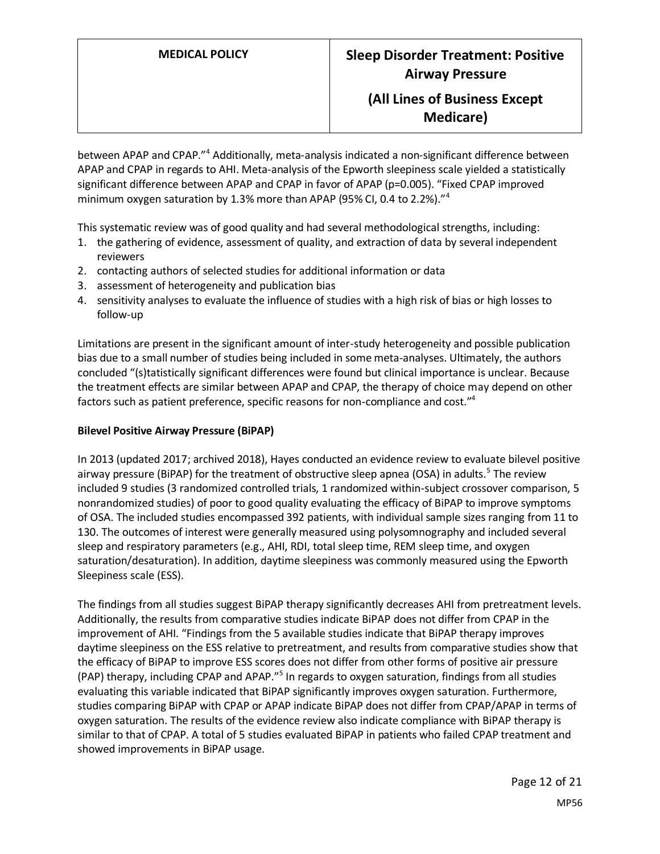between APAP and CPAP."<sup>4</sup> Additionally, meta-analysis indicated a non-significant difference between APAP and CPAP in regards to AHI. Meta-analysis of the Epworth sleepiness scale yielded a statistically significant difference between APAP and CPAP in favor of APAP (p=0.005). "Fixed CPAP improved minimum oxygen saturation by 1.3% more than APAP (95% CI, 0.4 to 2.2%)."<sup>4</sup>

This systematic review was of good quality and had several methodological strengths, including:

- 1. the gathering of evidence, assessment of quality, and extraction of data by several independent reviewers
- 2. contacting authors of selected studies for additional information or data
- 3. assessment of heterogeneity and publication bias
- 4. sensitivity analyses to evaluate the influence of studies with a high risk of bias or high losses to follow-up

Limitations are present in the significant amount of inter-study heterogeneity and possible publication bias due to a small number of studies being included in some meta-analyses. Ultimately, the authors concluded "(s)tatistically significant differences were found but clinical importance is unclear. Because the treatment effects are similar between APAP and CPAP, the therapy of choice may depend on other factors such as patient preference, specific reasons for non-compliance and cost."<sup>4</sup>

#### **Bilevel Positive Airway Pressure (BiPAP)**

In 2013 (updated 2017; archived 2018), Hayes conducted an evidence review to evaluate bilevel positive airway pressure (BiPAP) for the treatment of obstructive sleep apnea (OSA) in adults.<sup>5</sup> The review included 9 studies (3 randomized controlled trials, 1 randomized within-subject crossover comparison, 5 nonrandomized studies) of poor to good quality evaluating the efficacy of BiPAP to improve symptoms of OSA. The included studies encompassed 392 patients, with individual sample sizes ranging from 11 to 130. The outcomes of interest were generally measured using polysomnography and included several sleep and respiratory parameters (e.g., AHI, RDI, total sleep time, REM sleep time, and oxygen saturation/desaturation). In addition, daytime sleepiness was commonly measured using the Epworth Sleepiness scale (ESS).

The findings from all studies suggest BiPAP therapy significantly decreases AHI from pretreatment levels. Additionally, the results from comparative studies indicate BiPAP does not differ from CPAP in the improvement of AHI. "Findings from the 5 available studies indicate that BiPAP therapy improves daytime sleepiness on the ESS relative to pretreatment, and results from comparative studies show that the efficacy of BiPAP to improve ESS scores does not differ from other forms of positive air pressure (PAP) therapy, including CPAP and APAP."<sup>5</sup> In regards to oxygen saturation, findings from all studies evaluating this variable indicated that BiPAP significantly improves oxygen saturation. Furthermore, studies comparing BiPAP with CPAP or APAP indicate BiPAP does not differ from CPAP/APAP in terms of oxygen saturation. The results of the evidence review also indicate compliance with BiPAP therapy is similar to that of CPAP. A total of 5 studies evaluated BiPAP in patients who failed CPAP treatment and showed improvements in BiPAP usage.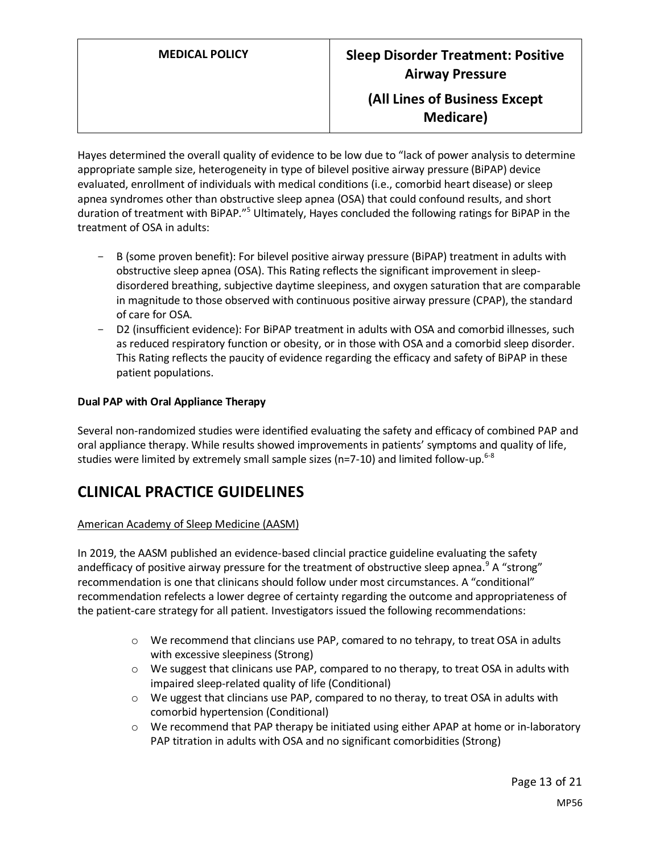# **MEDICAL POLICY Sleep Disorder Treatment: Positive Airway Pressure (All Lines of Business Except**

**Medicare)**

Hayes determined the overall quality of evidence to be low due to "lack of power analysis to determine appropriate sample size, heterogeneity in type of bilevel positive airway pressure (BiPAP) device evaluated, enrollment of individuals with medical conditions (i.e., comorbid heart disease) or sleep apnea syndromes other than obstructive sleep apnea (OSA) that could confound results, and short duration of treatment with BiPAP."<sup>5</sup> Ultimately, Hayes concluded the following ratings for BiPAP in the treatment of OSA in adults:

- B (some proven benefit): For bilevel positive airway pressure (BiPAP) treatment in adults with obstructive sleep apnea (OSA). This Rating reflects the significant improvement in sleepdisordered breathing, subjective daytime sleepiness, and oxygen saturation that are comparable in magnitude to those observed with continuous positive airway pressure (CPAP), the standard of care for OSA.
- D2 (insufficient evidence): For BiPAP treatment in adults with OSA and comorbid illnesses, such as reduced respiratory function or obesity, or in those with OSA and a comorbid sleep disorder. This Rating reflects the paucity of evidence regarding the efficacy and safety of BiPAP in these patient populations.

#### **Dual PAP with Oral Appliance Therapy**

Several non-randomized studies were identified evaluating the safety and efficacy of combined PAP and oral appliance therapy. While results showed improvements in patients' symptoms and quality of life, studies were limited by extremely small sample sizes ( $n=7-10$ ) and limited follow-up.<sup>6-8</sup>

# **CLINICAL PRACTICE GUIDELINES**

### American Academy of Sleep Medicine (AASM)

In 2019, the AASM published an evidence-based clincial practice guideline evaluating the safety andefficacy of positive airway pressure for the treatment of obstructive sleep apnea.<sup>9</sup> A "strong" recommendation is one that clinicans should follow under most circumstances. A "conditional" recommendation refelects a lower degree of certainty regarding the outcome and appropriateness of the patient-care strategy for all patient. Investigators issued the following recommendations:

- o We recommend that clincians use PAP, comared to no tehrapy, to treat OSA in adults with excessive sleepiness (Strong)
- o We suggest that clinicans use PAP, compared to no therapy, to treat OSA in adults with impaired sleep-related quality of life (Conditional)
- $\circ$  We uggest that clincians use PAP, compared to no theray, to treat OSA in adults with comorbid hypertension (Conditional)
- o We recommend that PAP therapy be initiated using either APAP at home or in-laboratory PAP titration in adults with OSA and no significant comorbidities (Strong)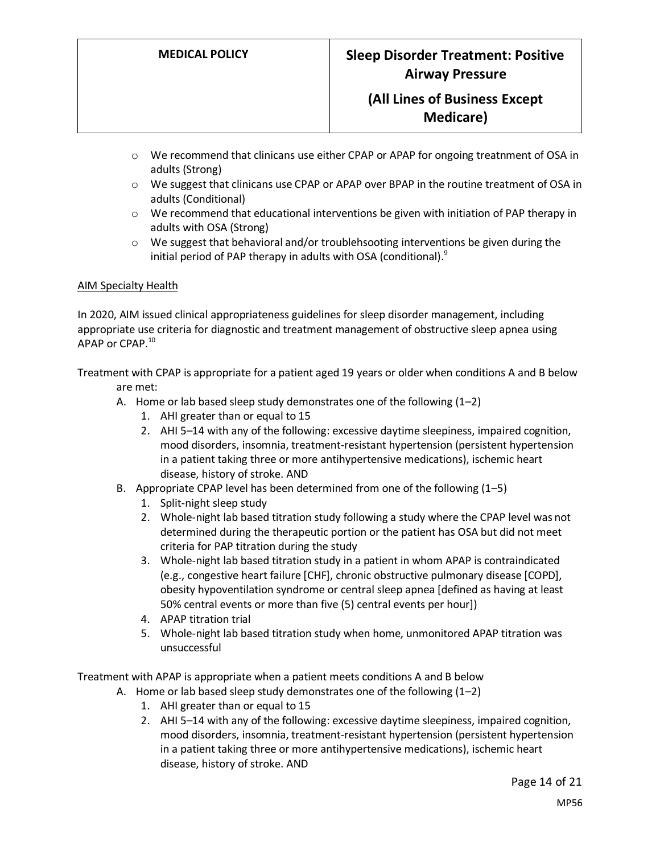- o We recommend that clinicans use either CPAP or APAP for ongoing treatnment of OSA in adults (Strong)
- o We suggest that clinicans use CPAP or APAP over BPAP in the routine treatment of OSA in adults (Conditional)
- $\circ$  We recommend that educational interventions be given with initiation of PAP therapy in adults with OSA (Strong)
- $\circ$  We suggest that behavioral and/or troublehsooting interventions be given during the initial period of PAP therapy in adults with OSA (conditional).<sup>9</sup>

#### AIM Specialty Health

In 2020, AIM issued clinical appropriateness guidelines for sleep disorder management, including appropriate use criteria for diagnostic and treatment management of obstructive sleep apnea using APAP or CPAP.<sup>10</sup>

Treatment with CPAP is appropriate for a patient aged 19 years or older when conditions A and B below are met:

- A. Home or lab based sleep study demonstrates one of the following (1–2)
	- 1. AHI greater than or equal to 15
	- 2. AHI 5–14 with any of the following: excessive daytime sleepiness, impaired cognition, mood disorders, insomnia, treatment-resistant hypertension (persistent hypertension in a patient taking three or more antihypertensive medications), ischemic heart disease, history of stroke. AND
- B. Appropriate CPAP level has been determined from one of the following (1–5)
	- 1. Split-night sleep study
	- 2. Whole-night lab based titration study following a study where the CPAP level was not determined during the therapeutic portion or the patient has OSA but did not meet criteria for PAP titration during the study
	- 3. Whole-night lab based titration study in a patient in whom APAP is contraindicated (e.g., congestive heart failure [CHF], chronic obstructive pulmonary disease [COPD], obesity hypoventilation syndrome or central sleep apnea [defined as having at least 50% central events or more than five (5) central events per hour])
	- 4. APAP titration trial
	- 5. Whole-night lab based titration study when home, unmonitored APAP titration was unsuccessful

Treatment with APAP is appropriate when a patient meets conditions A and B below

- A. Home or lab based sleep study demonstrates one of the following (1–2)
	- 1. AHI greater than or equal to 15
	- 2. AHI 5–14 with any of the following: excessive daytime sleepiness, impaired cognition, mood disorders, insomnia, treatment-resistant hypertension (persistent hypertension in a patient taking three or more antihypertensive medications), ischemic heart disease, history of stroke. AND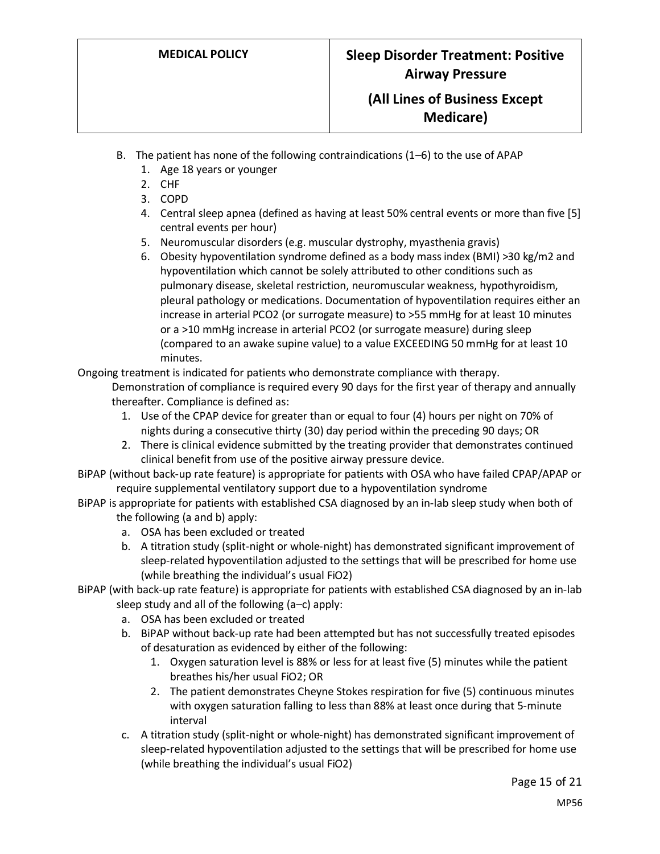- B. The patient has none of the following contraindications (1–6) to the use of APAP
	- 1. Age 18 years or younger
	- 2. CHF
	- 3. COPD
	- 4. Central sleep apnea (defined as having at least 50% central events or more than five [5] central events per hour)
	- 5. Neuromuscular disorders (e.g. muscular dystrophy, myasthenia gravis)
	- 6. Obesity hypoventilation syndrome defined as a body mass index (BMI) >30 kg/m2 and hypoventilation which cannot be solely attributed to other conditions such as pulmonary disease, skeletal restriction, neuromuscular weakness, hypothyroidism, pleural pathology or medications. Documentation of hypoventilation requires either an increase in arterial PCO2 (or surrogate measure) to >55 mmHg for at least 10 minutes or a >10 mmHg increase in arterial PCO2 (or surrogate measure) during sleep (compared to an awake supine value) to a value EXCEEDING 50 mmHg for at least 10 minutes.

Ongoing treatment is indicated for patients who demonstrate compliance with therapy.

Demonstration of compliance is required every 90 days for the first year of therapy and annually thereafter. Compliance is defined as:

- 1. Use of the CPAP device for greater than or equal to four (4) hours per night on 70% of nights during a consecutive thirty (30) day period within the preceding 90 days; OR
- 2. There is clinical evidence submitted by the treating provider that demonstrates continued clinical benefit from use of the positive airway pressure device.
- BiPAP (without back-up rate feature) is appropriate for patients with OSA who have failed CPAP/APAP or require supplemental ventilatory support due to a hypoventilation syndrome
- BiPAP is appropriate for patients with established CSA diagnosed by an in-lab sleep study when both of the following (a and b) apply:
	- a. OSA has been excluded or treated
	- b. A titration study (split-night or whole-night) has demonstrated significant improvement of sleep-related hypoventilation adjusted to the settings that will be prescribed for home use (while breathing the individual's usual FiO2)
- BiPAP (with back-up rate feature) is appropriate for patients with established CSA diagnosed by an in-lab sleep study and all of the following (a–c) apply:
	- a. OSA has been excluded or treated
	- b. BiPAP without back-up rate had been attempted but has not successfully treated episodes of desaturation as evidenced by either of the following:
		- 1. Oxygen saturation level is 88% or less for at least five (5) minutes while the patient breathes his/her usual FiO2; OR
		- 2. The patient demonstrates Cheyne Stokes respiration for five (5) continuous minutes with oxygen saturation falling to less than 88% at least once during that 5-minute interval
	- c. A titration study (split-night or whole-night) has demonstrated significant improvement of sleep-related hypoventilation adjusted to the settings that will be prescribed for home use (while breathing the individual's usual FiO2)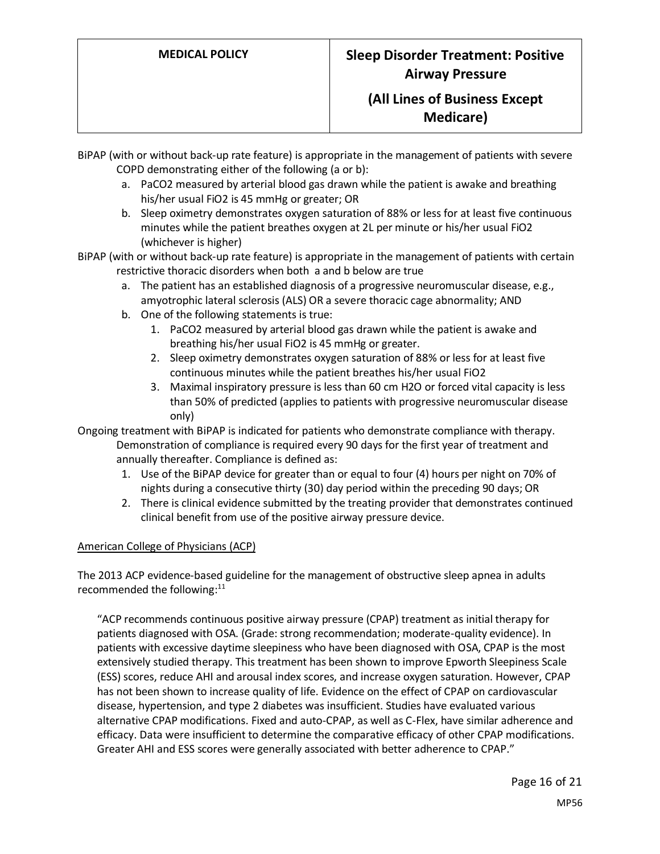BiPAP (with or without back-up rate feature) is appropriate in the management of patients with severe COPD demonstrating either of the following (a or b):

- a. PaCO2 measured by arterial blood gas drawn while the patient is awake and breathing his/her usual FiO2 is 45 mmHg or greater; OR
- b. Sleep oximetry demonstrates oxygen saturation of 88% or less for at least five continuous minutes while the patient breathes oxygen at 2L per minute or his/her usual FiO2 (whichever is higher)

BiPAP (with or without back-up rate feature) is appropriate in the management of patients with certain restrictive thoracic disorders when both a and b below are true

- a. The patient has an established diagnosis of a progressive neuromuscular disease, e.g., amyotrophic lateral sclerosis (ALS) OR a severe thoracic cage abnormality; AND
- b. One of the following statements is true:
	- 1. PaCO2 measured by arterial blood gas drawn while the patient is awake and breathing his/her usual FiO2 is 45 mmHg or greater.
	- 2. Sleep oximetry demonstrates oxygen saturation of 88% or less for at least five continuous minutes while the patient breathes his/her usual FiO2
	- 3. Maximal inspiratory pressure is less than 60 cm H2O or forced vital capacity is less than 50% of predicted (applies to patients with progressive neuromuscular disease only)

Ongoing treatment with BiPAP is indicated for patients who demonstrate compliance with therapy. Demonstration of compliance is required every 90 days for the first year of treatment and annually thereafter. Compliance is defined as:

- 1. Use of the BiPAP device for greater than or equal to four (4) hours per night on 70% of nights during a consecutive thirty (30) day period within the preceding 90 days; OR
- 2. There is clinical evidence submitted by the treating provider that demonstrates continued clinical benefit from use of the positive airway pressure device.

#### American College of Physicians (ACP)

The 2013 ACP evidence-based guideline for the management of obstructive sleep apnea in adults recommended the following: $11$ 

"ACP recommends continuous positive airway pressure (CPAP) treatment as initial therapy for patients diagnosed with OSA. (Grade: strong recommendation; moderate-quality evidence). In patients with excessive daytime sleepiness who have been diagnosed with OSA, CPAP is the most extensively studied therapy. This treatment has been shown to improve Epworth Sleepiness Scale (ESS) scores, reduce AHI and arousal index scores, and increase oxygen saturation. However, CPAP has not been shown to increase quality of life. Evidence on the effect of CPAP on cardiovascular disease, hypertension, and type 2 diabetes was insufficient. Studies have evaluated various alternative CPAP modifications. Fixed and auto-CPAP, as well as C-Flex, have similar adherence and efficacy. Data were insufficient to determine the comparative efficacy of other CPAP modifications. Greater AHI and ESS scores were generally associated with better adherence to CPAP."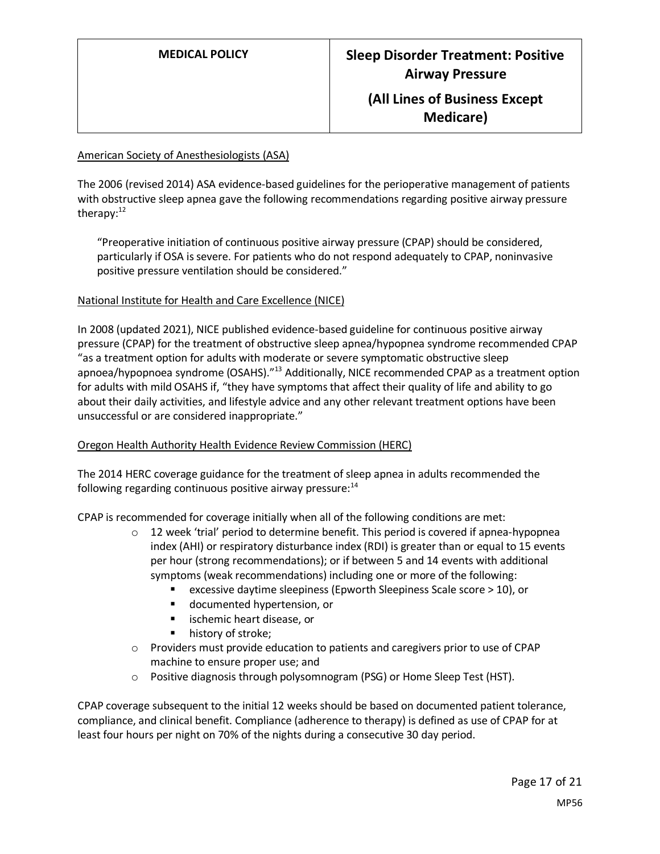#### American Society of Anesthesiologists (ASA)

The 2006 (revised 2014) ASA evidence-based guidelines for the perioperative management of patients with obstructive sleep apnea gave the following recommendations regarding positive airway pressure therapy: $12$ 

"Preoperative initiation of continuous positive airway pressure (CPAP) should be considered, particularly if OSA is severe. For patients who do not respond adequately to CPAP, noninvasive positive pressure ventilation should be considered."

#### National Institute for Health and Care Excellence (NICE)

In 2008 (updated 2021), NICE published evidence-based guideline for continuous positive airway pressure (CPAP) for the treatment of obstructive sleep apnea/hypopnea syndrome recommended CPAP "as a treatment option for adults with moderate or severe symptomatic obstructive sleep apnoea/hypopnoea syndrome (OSAHS)."<sup>13</sup> Additionally, NICE recommended CPAP as a treatment option for adults with mild OSAHS if, "they have symptoms that affect their quality of life and ability to go about their daily activities, and lifestyle advice and any other relevant treatment options have been unsuccessful or are considered inappropriate."

#### Oregon Health Authority Health Evidence Review Commission (HERC)

The 2014 HERC coverage guidance for the treatment of sleep apnea in adults recommended the following regarding continuous positive airway pressure: $14$ 

CPAP is recommended for coverage initially when all of the following conditions are met:

- $\circ$  12 week 'trial' period to determine benefit. This period is covered if apnea-hypopnea index (AHI) or respiratory disturbance index (RDI) is greater than or equal to 15 events per hour (strong recommendations); or if between 5 and 14 events with additional symptoms (weak recommendations) including one or more of the following:
	- excessive daytime sleepiness (Epworth Sleepiness Scale score > 10), or
	- documented hypertension, or
	- ischemic heart disease, or
	- history of stroke;
- $\circ$  Providers must provide education to patients and caregivers prior to use of CPAP machine to ensure proper use; and
- $\circ$  Positive diagnosis through polysomnogram (PSG) or Home Sleep Test (HST).

CPAP coverage subsequent to the initial 12 weeks should be based on documented patient tolerance, compliance, and clinical benefit. Compliance (adherence to therapy) is defined as use of CPAP for at least four hours per night on 70% of the nights during a consecutive 30 day period.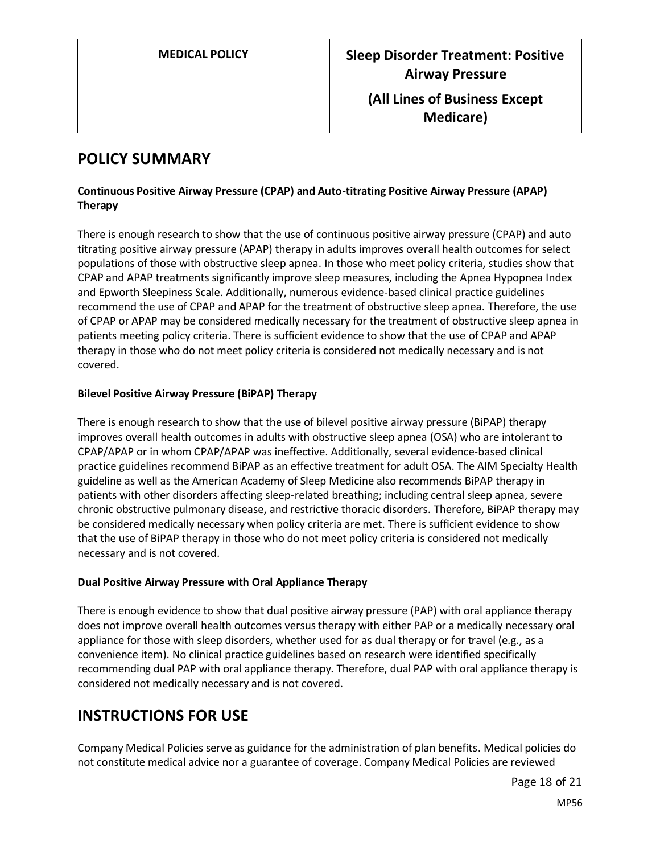# <span id="page-17-0"></span>**POLICY SUMMARY**

#### **Continuous Positive Airway Pressure (CPAP) and Auto-titrating Positive Airway Pressure (APAP) Therapy**

There is enough research to show that the use of continuous positive airway pressure (CPAP) and auto titrating positive airway pressure (APAP) therapy in adults improves overall health outcomes for select populations of those with obstructive sleep apnea. In those who meet policy criteria, studies show that CPAP and APAP treatments significantly improve sleep measures, including the Apnea Hypopnea Index and Epworth Sleepiness Scale. Additionally, numerous evidence-based clinical practice guidelines recommend the use of CPAP and APAP for the treatment of obstructive sleep apnea. Therefore, the use of CPAP or APAP may be considered medically necessary for the treatment of obstructive sleep apnea in patients meeting policy criteria. There is sufficient evidence to show that the use of CPAP and APAP therapy in those who do not meet policy criteria is considered not medically necessary and is not covered.

#### **Bilevel Positive Airway Pressure (BiPAP) Therapy**

There is enough research to show that the use of bilevel positive airway pressure (BiPAP) therapy improves overall health outcomes in adults with obstructive sleep apnea (OSA) who are intolerant to CPAP/APAP or in whom CPAP/APAP was ineffective. Additionally, several evidence-based clinical practice guidelines recommend BiPAP as an effective treatment for adult OSA. The AIM Specialty Health guideline as well as the American Academy of Sleep Medicine also recommends BiPAP therapy in patients with other disorders affecting sleep-related breathing; including central sleep apnea, severe chronic obstructive pulmonary disease, and restrictive thoracic disorders. Therefore, BiPAP therapy may be considered medically necessary when policy criteria are met. There is sufficient evidence to show that the use of BiPAP therapy in those who do not meet policy criteria is considered not medically necessary and is not covered.

#### **Dual Positive Airway Pressure with Oral Appliance Therapy**

There is enough evidence to show that dual positive airway pressure (PAP) with oral appliance therapy does not improve overall health outcomes versus therapy with either PAP or a medically necessary oral appliance for those with sleep disorders, whether used for as dual therapy or for travel (e.g., as a convenience item). No clinical practice guidelines based on research were identified specifically recommending dual PAP with oral appliance therapy. Therefore, dual PAP with oral appliance therapy is considered not medically necessary and is not covered.

# **INSTRUCTIONS FOR USE**

Company Medical Policies serve as guidance for the administration of plan benefits. Medical policies do not constitute medical advice nor a guarantee of coverage. Company Medical Policies are reviewed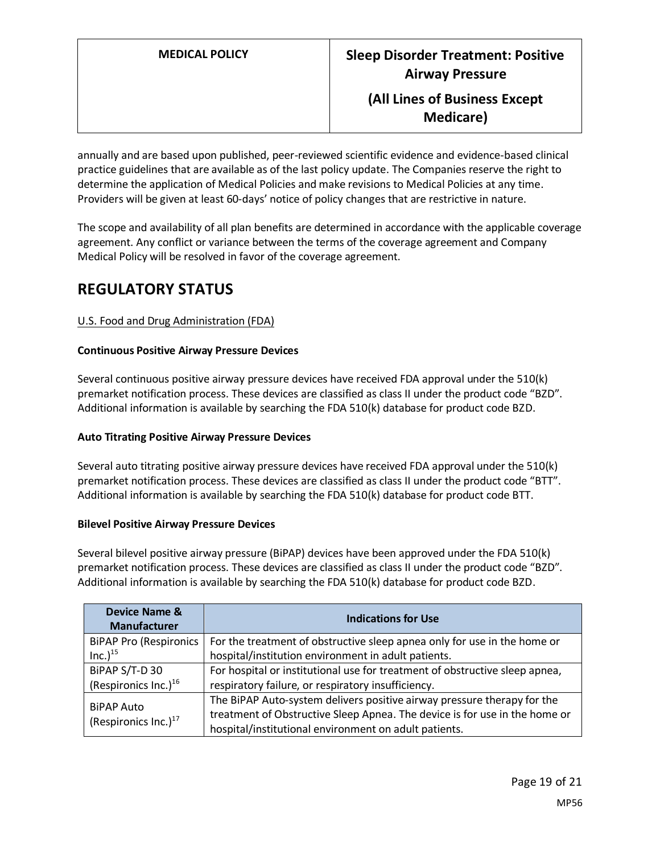**Medicare)**

annually and are based upon published, peer-reviewed scientific evidence and evidence-based clinical practice guidelines that are available as of the last policy update. The Companies reserve the right to determine the application of Medical Policies and make revisions to Medical Policies at any time. Providers will be given at least 60-days' notice of policy changes that are restrictive in nature.

The scope and availability of all plan benefits are determined in accordance with the applicable coverage agreement. Any conflict or variance between the terms of the coverage agreement and Company Medical Policy will be resolved in favor of the coverage agreement.

# **REGULATORY STATUS**

#### U.S. Food and Drug Administration (FDA)

#### **Continuous Positive Airway Pressure Devices**

Several continuous positive airway pressure devices have received FDA approval under the 510(k) premarket notification process. These devices are classified as class II under the product code "BZD". Additional information is available by searching the FDA 510(k) database for product code BZD.

#### **Auto Titrating Positive Airway Pressure Devices**

Several auto titrating positive airway pressure devices have received FDA approval under the 510(k) premarket notification process. These devices are classified as class II under the product code "BTT". Additional information is available by searching the FDA 510(k) database for product code BTT.

#### **Bilevel Positive Airway Pressure Devices**

Several bilevel positive airway pressure (BiPAP) devices have been approved under the FDA 510(k) premarket notification process. These devices are classified as class II under the product code "BZD". Additional information is available by searching the FDA 510(k) database for product code BZD.

| <b>Device Name &amp;</b><br><b>Manufacturer</b> | <b>Indications for Use</b>                                                  |
|-------------------------------------------------|-----------------------------------------------------------------------------|
| <b>BiPAP Pro (Respironics</b>                   | For the treatment of obstructive sleep apnea only for use in the home or    |
| $Inc.)^{15}$                                    | hospital/institution environment in adult patients.                         |
| BiPAP S/T-D 30                                  | For hospital or institutional use for treatment of obstructive sleep apnea, |
| (Respironics Inc.) $16$                         | respiratory failure, or respiratory insufficiency.                          |
| <b>BiPAP Auto</b><br>(Respironics Inc.) $17$    | The BiPAP Auto-system delivers positive airway pressure therapy for the     |
|                                                 | treatment of Obstructive Sleep Apnea. The device is for use in the home or  |
|                                                 | hospital/institutional environment on adult patients.                       |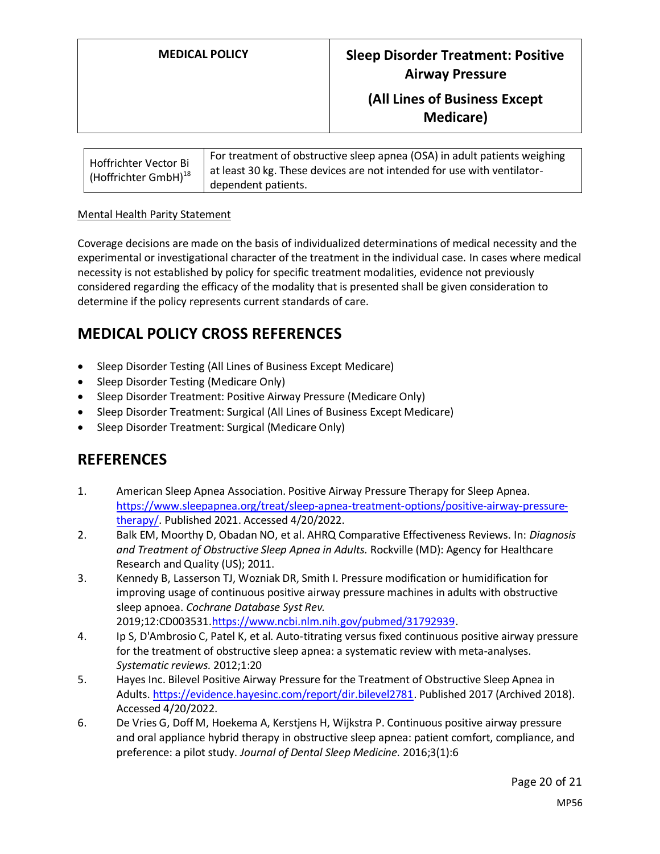| Hoffrichter Vector Bi<br>(Hoffrichter GmbH) $^{18}$ | For treatment of obstructive sleep apnea (OSA) in adult patients weighing<br>at least 30 kg. These devices are not intended for use with ventilator- |
|-----------------------------------------------------|------------------------------------------------------------------------------------------------------------------------------------------------------|
|                                                     | dependent patients.                                                                                                                                  |

#### Mental Health Parity Statement

Coverage decisions are made on the basis of individualized determinations of medical necessity and the experimental or investigational character of the treatment in the individual case. In cases where medical necessity is not established by policy for specific treatment modalities, evidence not previously considered regarding the efficacy of the modality that is presented shall be given consideration to determine if the policy represents current standards of care.

# **MEDICAL POLICY CROSS REFERENCES**

- Sleep Disorder Testing (All Lines of Business Except Medicare)
- Sleep Disorder Testing (Medicare Only)
- Sleep Disorder Treatment: Positive Airway Pressure (Medicare Only)
- Sleep Disorder Treatment: Surgical (All Lines of Business Except Medicare)
- Sleep Disorder Treatment: Surgical (Medicare Only)

## **REFERENCES**

- 1. American Sleep Apnea Association. Positive Airway Pressure Therapy for Sleep Apnea. [https://www.sleepapnea.org/treat/sleep-apnea-treatment-options/positive-airway-pressure](https://www.sleepapnea.org/treat/sleep-apnea-treatment-options/positive-airway-pressure-therapy/)[therapy/.](https://www.sleepapnea.org/treat/sleep-apnea-treatment-options/positive-airway-pressure-therapy/) Published 2021. Accessed 4/20/2022.
- 2. Balk EM, Moorthy D, Obadan NO, et al. AHRQ Comparative Effectiveness Reviews. In: *Diagnosis and Treatment of Obstructive Sleep Apnea in Adults.* Rockville (MD): Agency for Healthcare Research and Quality (US); 2011.
- 3. Kennedy B, Lasserson TJ, Wozniak DR, Smith I. Pressure modification or humidification for improving usage of continuous positive airway pressure machines in adults with obstructive sleep apnoea. *Cochrane Database Syst Rev.*  2019;12:CD003531[.https://www.ncbi.nlm.nih.gov/pubmed/31792939.](https://www.ncbi.nlm.nih.gov/pubmed/31792939)
- 4. Ip S, D'Ambrosio C, Patel K, et al. Auto-titrating versus fixed continuous positive airway pressure for the treatment of obstructive sleep apnea: a systematic review with meta-analyses. *Systematic reviews.* 2012;1:20
- 5. Hayes Inc. Bilevel Positive Airway Pressure for the Treatment of Obstructive Sleep Apnea in Adults[. https://evidence.hayesinc.com/report/dir.bilevel2781.](https://evidence.hayesinc.com/report/dir.bilevel2781) Published 2017 (Archived 2018). Accessed 4/20/2022.
- 6. De Vries G, Doff M, Hoekema A, Kerstjens H, Wijkstra P. Continuous positive airway pressure and oral appliance hybrid therapy in obstructive sleep apnea: patient comfort, compliance, and preference: a pilot study. *Journal of Dental Sleep Medicine.* 2016;3(1):6